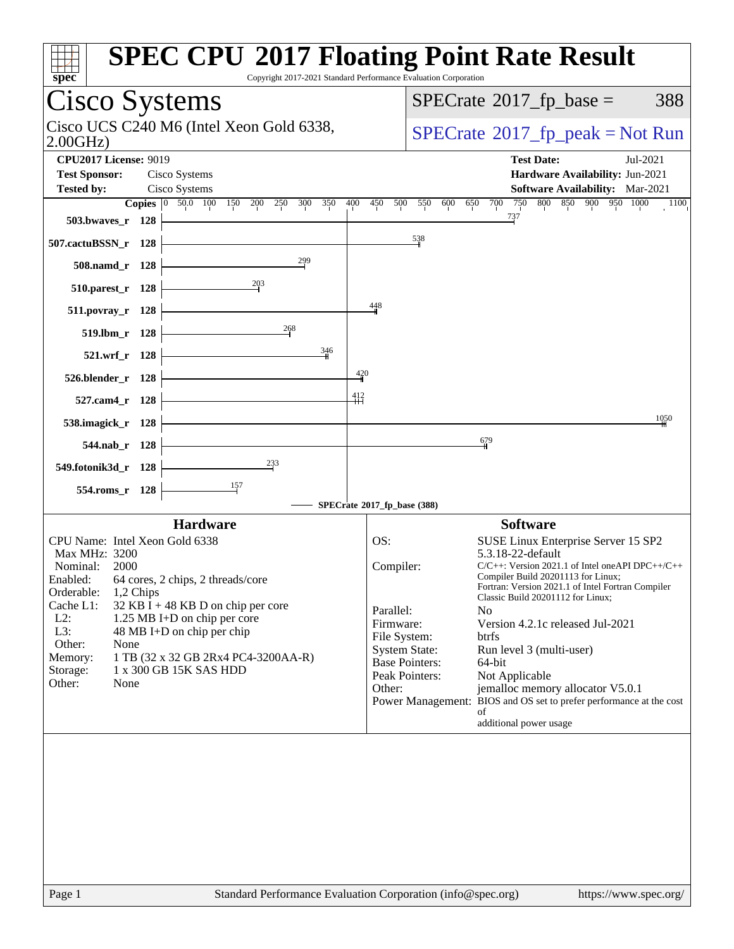| $spec*$                                                                                  | <b>SPEC CPU®2017 Floating Point Rate Result</b><br>Copyright 2017-2021 Standard Performance Evaluation Corporation      |
|------------------------------------------------------------------------------------------|-------------------------------------------------------------------------------------------------------------------------|
| Cisco Systems                                                                            | $SPECTate$ <sup>®</sup> 2017_fp_base =<br>388                                                                           |
| Cisco UCS C240 M6 (Intel Xeon Gold 6338,<br>2.00GHz                                      | $SPECrate^{\circ}2017rfp peak = Not Run$                                                                                |
| <b>CPU2017 License: 9019</b><br><b>Test Sponsor:</b><br>Cisco Systems                    | <b>Test Date:</b><br>Jul-2021<br>Hardware Availability: Jun-2021                                                        |
| Cisco Systems<br><b>Tested by:</b><br>Copies 0 50.0 100 150 200 250<br>300<br>350<br>400 | <b>Software Availability:</b> Mar-2021<br>750<br>800 850 900 950 1000<br>450<br>550<br>700<br>500<br>600<br>650<br>1100 |
| 503.bwaves_r 128                                                                         | 737                                                                                                                     |
|                                                                                          | 538                                                                                                                     |
| 507.cactuBSSN_r 128<br>299                                                               |                                                                                                                         |
| 508.namd_r 128                                                                           |                                                                                                                         |
| $\frac{203}{2}$<br>510.parest_r 128                                                      |                                                                                                                         |
| $511. povray_r 128$                                                                      | 448                                                                                                                     |
| 268<br>519.lbm_r 128                                                                     |                                                                                                                         |
| 346<br>521.wrf_r 128                                                                     |                                                                                                                         |
| 420<br>526.blender_r 128                                                                 |                                                                                                                         |
| $\frac{412}{1}$<br>527.cam4_r 128                                                        |                                                                                                                         |
| 538.imagick_r 128                                                                        | 1050                                                                                                                    |
| 544.nab_r 128                                                                            | $\frac{679}{2}$                                                                                                         |
| $\frac{233}{2}$<br>549.fotonik3d_r 128                                                   |                                                                                                                         |
| 그<br>554.roms_r 128                                                                      |                                                                                                                         |
|                                                                                          | SPECrate®2017_fp_base (388)                                                                                             |
| <b>Hardware</b>                                                                          | <b>Software</b>                                                                                                         |
| CPU Name: Intel Xeon Gold 6338                                                           | OS:<br>SUSE Linux Enterprise Server 15 SP2                                                                              |
| Max MHz: 3200<br>Nominal:<br>2000                                                        | 5.3.18-22-default<br>$C/C++$ : Version 2021.1 of Intel one API DPC++/C++<br>Compiler:                                   |
| Enabled: 64 cores, 2 chips, 2 threads/core                                               | Compiler Build 20201113 for Linux;<br>Fortran: Version 2021.1 of Intel Fortran Compiler                                 |
| Orderable:<br>1,2 Chips<br>Cache L1:<br>32 KB I + 48 KB D on chip per core               | Classic Build 20201112 for Linux;                                                                                       |
| $L2$ :<br>1.25 MB I+D on chip per core                                                   | Parallel:<br>N <sub>o</sub><br>Firmware:<br>Version 4.2.1c released Jul-2021                                            |
| L3:<br>48 MB I+D on chip per chip                                                        | File System:<br>btrfs                                                                                                   |
| Other:<br>None<br>Memory:<br>1 TB (32 x 32 GB 2Rx4 PC4-3200AA-R)                         | <b>System State:</b><br>Run level 3 (multi-user)                                                                        |
| 1 x 300 GB 15K SAS HDD<br>Storage:                                                       | <b>Base Pointers:</b><br>64-bit<br>Peak Pointers:                                                                       |
| Other:<br>None                                                                           | Not Applicable<br>Other:<br>jemalloc memory allocator V5.0.1                                                            |
|                                                                                          | Power Management: BIOS and OS set to prefer performance at the cost                                                     |
|                                                                                          | οf<br>additional power usage                                                                                            |
|                                                                                          |                                                                                                                         |
|                                                                                          |                                                                                                                         |
|                                                                                          |                                                                                                                         |
|                                                                                          |                                                                                                                         |
|                                                                                          |                                                                                                                         |
|                                                                                          |                                                                                                                         |
|                                                                                          |                                                                                                                         |
|                                                                                          |                                                                                                                         |
|                                                                                          |                                                                                                                         |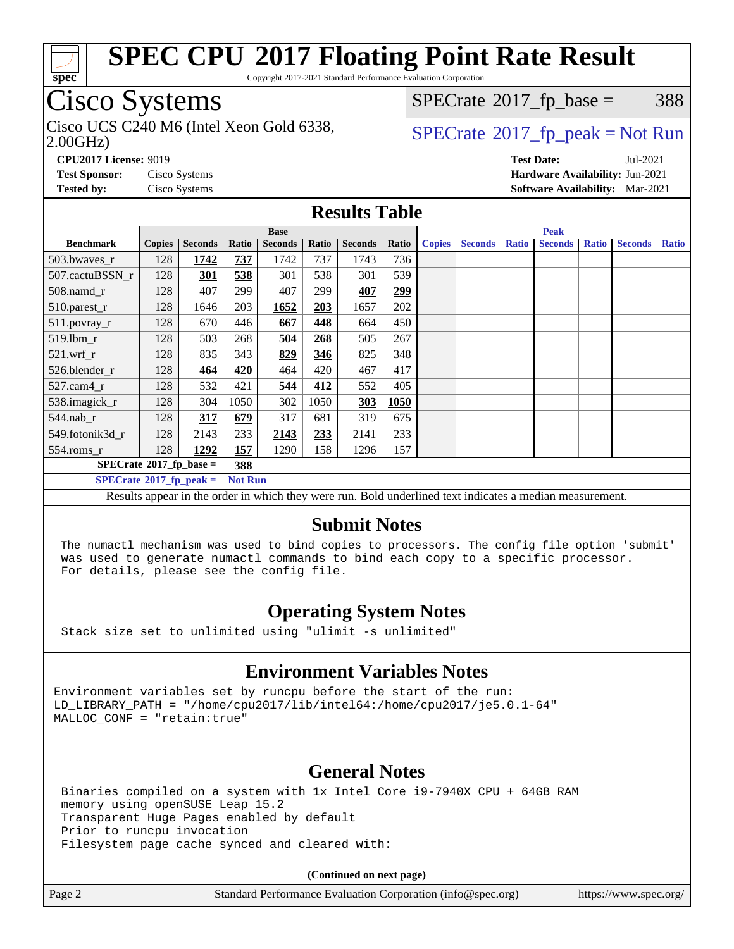

Copyright 2017-2021 Standard Performance Evaluation Corporation

## Cisco Systems

2.00GHz)

 $SPECTate@2017<sub>fr</sub> base = 388$ 

## Cisco UCS C240 M6 (Intel Xeon Gold 6338,  $\vert$  [SPECrate](http://www.spec.org/auto/cpu2017/Docs/result-fields.html#SPECrate2017fppeak)®[2017\\_fp\\_peak = N](http://www.spec.org/auto/cpu2017/Docs/result-fields.html#SPECrate2017fppeak)ot Run

**[CPU2017 License:](http://www.spec.org/auto/cpu2017/Docs/result-fields.html#CPU2017License)** 9019 **[Test Date:](http://www.spec.org/auto/cpu2017/Docs/result-fields.html#TestDate)** Jul-2021 **[Test Sponsor:](http://www.spec.org/auto/cpu2017/Docs/result-fields.html#TestSponsor)** Cisco Systems **[Hardware Availability:](http://www.spec.org/auto/cpu2017/Docs/result-fields.html#HardwareAvailability)** Jun-2021 **[Tested by:](http://www.spec.org/auto/cpu2017/Docs/result-fields.html#Testedby)** Cisco Systems **[Software Availability:](http://www.spec.org/auto/cpu2017/Docs/result-fields.html#SoftwareAvailability)** Mar-2021

#### **[Results Table](http://www.spec.org/auto/cpu2017/Docs/result-fields.html#ResultsTable)**

|                                                     | <b>Base</b>   |                |       |                |       | <b>Peak</b>    |       |               |                |              |                |              |                |              |
|-----------------------------------------------------|---------------|----------------|-------|----------------|-------|----------------|-------|---------------|----------------|--------------|----------------|--------------|----------------|--------------|
| <b>Benchmark</b>                                    | <b>Copies</b> | <b>Seconds</b> | Ratio | <b>Seconds</b> | Ratio | <b>Seconds</b> | Ratio | <b>Copies</b> | <b>Seconds</b> | <b>Ratio</b> | <b>Seconds</b> | <b>Ratio</b> | <b>Seconds</b> | <b>Ratio</b> |
| 503.bwayes_r                                        | 128           | 1742           | 737   | 1742           | 737   | 1743           | 736   |               |                |              |                |              |                |              |
| 507.cactuBSSN r                                     | 128           | 301            | 538   | 301            | 538   | 301            | 539   |               |                |              |                |              |                |              |
| $508$ .namd $r$                                     | 128           | 407            | 299   | 407            | 299   | 407            | 299   |               |                |              |                |              |                |              |
| 510.parest_r                                        | 128           | 1646           | 203   | 1652           | 203   | 1657           | 202   |               |                |              |                |              |                |              |
| 511.povray_r                                        | 128           | 670            | 446   | 667            | 448   | 664            | 450   |               |                |              |                |              |                |              |
| 519.lbm r                                           | 128           | 503            | 268   | 504            | 268   | 505            | 267   |               |                |              |                |              |                |              |
| $521$ .wrf r                                        | 128           | 835            | 343   | 829            | 346   | 825            | 348   |               |                |              |                |              |                |              |
| 526.blender r                                       | 128           | 464            | 420   | 464            | 420   | 467            | 417   |               |                |              |                |              |                |              |
| $527$ .cam $4r$                                     | 128           | 532            | 421   | 544            | 412   | 552            | 405   |               |                |              |                |              |                |              |
| 538.imagick_r                                       | 128           | 304            | 1050  | 302            | 1050  | 303            | 1050  |               |                |              |                |              |                |              |
| $544$ .nab r                                        | 128           | 317            | 679   | 317            | 681   | 319            | 675   |               |                |              |                |              |                |              |
| 549.fotonik3d r                                     | 128           | 2143           | 233   | 2143           | 233   | 2141           | 233   |               |                |              |                |              |                |              |
| $554$ .roms_r                                       | 128           | 1292           | 157   | 1290           | 158   | 1296           | 157   |               |                |              |                |              |                |              |
| $SPECrate*2017_fp\_base =$<br>388                   |               |                |       |                |       |                |       |               |                |              |                |              |                |              |
| $SPECrate^{\circ}2017_fp\_peak =$<br><b>Not Run</b> |               |                |       |                |       |                |       |               |                |              |                |              |                |              |

Results appear in the [order in which they were run](http://www.spec.org/auto/cpu2017/Docs/result-fields.html#RunOrder). Bold underlined text [indicates a median measurement.](http://www.spec.org/auto/cpu2017/Docs/result-fields.html#Median)

#### **[Submit Notes](http://www.spec.org/auto/cpu2017/Docs/result-fields.html#SubmitNotes)**

 The numactl mechanism was used to bind copies to processors. The config file option 'submit' was used to generate numactl commands to bind each copy to a specific processor. For details, please see the config file.

## **[Operating System Notes](http://www.spec.org/auto/cpu2017/Docs/result-fields.html#OperatingSystemNotes)**

Stack size set to unlimited using "ulimit -s unlimited"

#### **[Environment Variables Notes](http://www.spec.org/auto/cpu2017/Docs/result-fields.html#EnvironmentVariablesNotes)**

Environment variables set by runcpu before the start of the run: LD\_LIBRARY\_PATH = "/home/cpu2017/lib/intel64:/home/cpu2017/je5.0.1-64" MALLOC\_CONF = "retain:true"

## **[General Notes](http://www.spec.org/auto/cpu2017/Docs/result-fields.html#GeneralNotes)**

 Binaries compiled on a system with 1x Intel Core i9-7940X CPU + 64GB RAM memory using openSUSE Leap 15.2 Transparent Huge Pages enabled by default Prior to runcpu invocation Filesystem page cache synced and cleared with:

**(Continued on next page)**

Page 2 Standard Performance Evaluation Corporation [\(info@spec.org\)](mailto:info@spec.org) <https://www.spec.org/>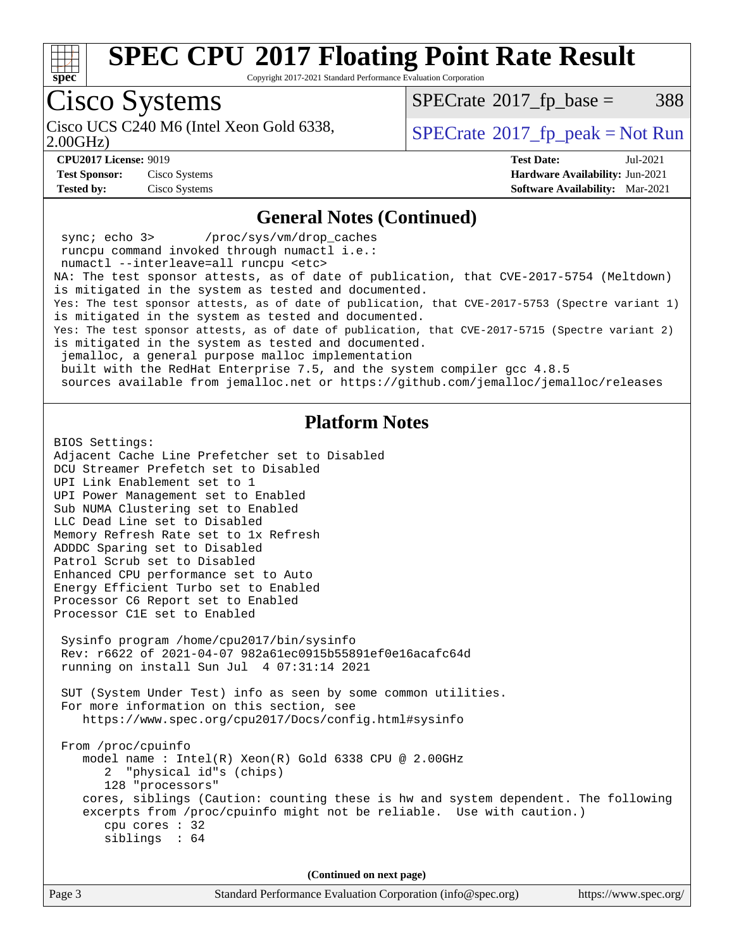

Copyright 2017-2021 Standard Performance Evaluation Corporation

# Cisco Systems

2.00GHz) Cisco UCS C240 M6 (Intel Xeon Gold 6338,  $\vert$  [SPECrate](http://www.spec.org/auto/cpu2017/Docs/result-fields.html#SPECrate2017fppeak)®[2017\\_fp\\_peak = N](http://www.spec.org/auto/cpu2017/Docs/result-fields.html#SPECrate2017fppeak)ot Run

 $SPECTate@2017<sub>fr</sub> base = 388$ 

**[Test Sponsor:](http://www.spec.org/auto/cpu2017/Docs/result-fields.html#TestSponsor)** Cisco Systems **[Hardware Availability:](http://www.spec.org/auto/cpu2017/Docs/result-fields.html#HardwareAvailability)** Jun-2021 **[Tested by:](http://www.spec.org/auto/cpu2017/Docs/result-fields.html#Testedby)** Cisco Systems **[Software Availability:](http://www.spec.org/auto/cpu2017/Docs/result-fields.html#SoftwareAvailability)** Mar-2021

**[CPU2017 License:](http://www.spec.org/auto/cpu2017/Docs/result-fields.html#CPU2017License)** 9019 **[Test Date:](http://www.spec.org/auto/cpu2017/Docs/result-fields.html#TestDate)** Jul-2021

#### **[General Notes \(Continued\)](http://www.spec.org/auto/cpu2017/Docs/result-fields.html#GeneralNotes)**

 sync; echo 3> /proc/sys/vm/drop\_caches runcpu command invoked through numactl i.e.: numactl --interleave=all runcpu <etc> NA: The test sponsor attests, as of date of publication, that CVE-2017-5754 (Meltdown) is mitigated in the system as tested and documented. Yes: The test sponsor attests, as of date of publication, that CVE-2017-5753 (Spectre variant 1) is mitigated in the system as tested and documented. Yes: The test sponsor attests, as of date of publication, that CVE-2017-5715 (Spectre variant 2) is mitigated in the system as tested and documented. jemalloc, a general purpose malloc implementation built with the RedHat Enterprise 7.5, and the system compiler gcc 4.8.5 sources available from jemalloc.net or<https://github.com/jemalloc/jemalloc/releases> **[Platform Notes](http://www.spec.org/auto/cpu2017/Docs/result-fields.html#PlatformNotes)** BIOS Settings: Adjacent Cache Line Prefetcher set to Disabled DCU Streamer Prefetch set to Disabled UPI Link Enablement set to 1 UPI Power Management set to Enabled Sub NUMA Clustering set to Enabled LLC Dead Line set to Disabled

Memory Refresh Rate set to 1x Refresh ADDDC Sparing set to Disabled Patrol Scrub set to Disabled Enhanced CPU performance set to Auto Energy Efficient Turbo set to Enabled Processor C6 Report set to Enabled Processor C1E set to Enabled Sysinfo program /home/cpu2017/bin/sysinfo Rev: r6622 of 2021-04-07 982a61ec0915b55891ef0e16acafc64d running on install Sun Jul 4 07:31:14 2021 SUT (System Under Test) info as seen by some common utilities. For more information on this section, see <https://www.spec.org/cpu2017/Docs/config.html#sysinfo> From /proc/cpuinfo model name : Intel(R) Xeon(R) Gold 6338 CPU @ 2.00GHz 2 "physical id"s (chips) 128 "processors" cores, siblings (Caution: counting these is hw and system dependent. The following excerpts from /proc/cpuinfo might not be reliable. Use with caution.) cpu cores : 32 siblings : 64 **(Continued on next page)**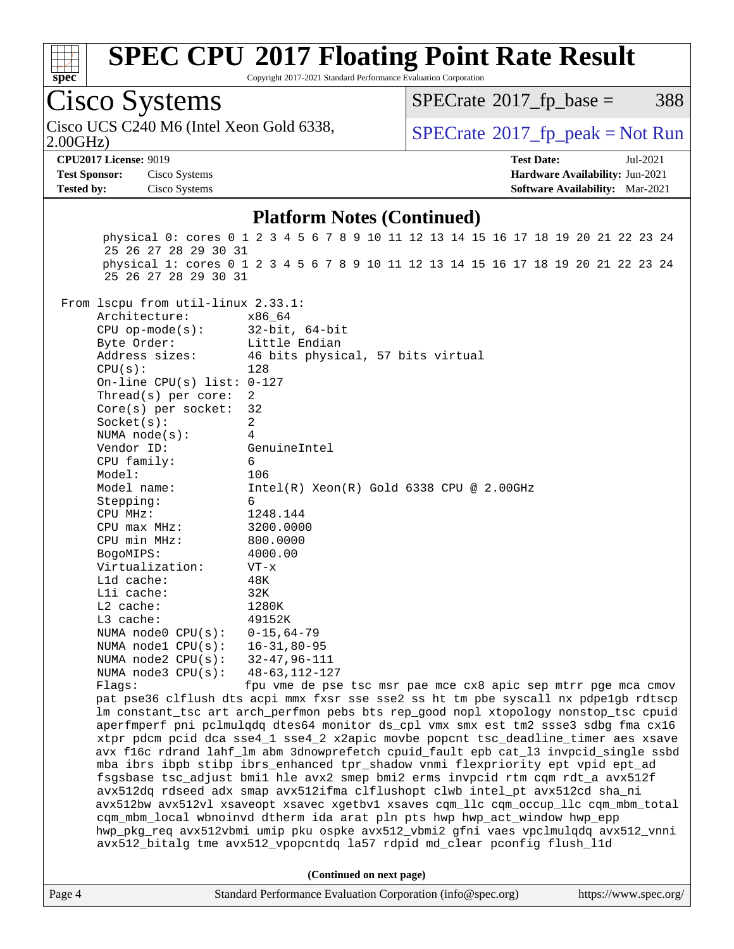

Copyright 2017-2021 Standard Performance Evaluation Corporation

# Cisco Systems

2.00GHz) Cisco UCS C240 M6 (Intel Xeon Gold 6338,  $\vert$  [SPECrate](http://www.spec.org/auto/cpu2017/Docs/result-fields.html#SPECrate2017fppeak)®[2017\\_fp\\_peak = N](http://www.spec.org/auto/cpu2017/Docs/result-fields.html#SPECrate2017fppeak)ot Run

 $SPECTate@2017<sub>fr</sub> base = 388$ 

**[Test Sponsor:](http://www.spec.org/auto/cpu2017/Docs/result-fields.html#TestSponsor)** Cisco Systems **[Hardware Availability:](http://www.spec.org/auto/cpu2017/Docs/result-fields.html#HardwareAvailability)** Jun-2021 **[Tested by:](http://www.spec.org/auto/cpu2017/Docs/result-fields.html#Testedby)** Cisco Systems **[Software Availability:](http://www.spec.org/auto/cpu2017/Docs/result-fields.html#SoftwareAvailability)** Mar-2021

**[CPU2017 License:](http://www.spec.org/auto/cpu2017/Docs/result-fields.html#CPU2017License)** 9019 **[Test Date:](http://www.spec.org/auto/cpu2017/Docs/result-fields.html#TestDate)** Jul-2021

#### **[Platform Notes \(Continued\)](http://www.spec.org/auto/cpu2017/Docs/result-fields.html#PlatformNotes)**

 physical 0: cores 0 1 2 3 4 5 6 7 8 9 10 11 12 13 14 15 16 17 18 19 20 21 22 23 24 25 26 27 28 29 30 31 physical 1: cores 0 1 2 3 4 5 6 7 8 9 10 11 12 13 14 15 16 17 18 19 20 21 22 23 24 25 26 27 28 29 30 31 From lscpu from util-linux 2.33.1: Architecture: x86\_64 CPU op-mode(s): 32-bit, 64-bit Byte Order: Little Endian Address sizes: 46 bits physical, 57 bits virtual  $CPU(s):$  128 On-line CPU(s) list: 0-127 Thread(s) per core: 2 Core(s) per socket: 32 Socket(s): 2 NUMA node(s): 4 Vendor ID: GenuineIntel CPU family: 6 Model: 106 Model name: Intel(R) Xeon(R) Gold 6338 CPU @ 2.00GHz Stepping: 6 CPU MHz: 1248.144 CPU max MHz: 3200.0000 CPU min MHz: 800.0000 BogoMIPS: 4000.00 Virtualization: VT-x L1d cache: 48K L1i cache: 32K L2 cache: 1280K L3 cache: 49152K NUMA node0 CPU(s): 0-15,64-79<br>NUMA node1 CPU(s): 16-31,80-95 NUMA node1 CPU(s): NUMA node2 CPU(s): 32-47,96-111 NUMA node3 CPU(s): 48-63,112-127 Flags: fpu vme de pse tsc msr pae mce cx8 apic sep mtrr pge mca cmov pat pse36 clflush dts acpi mmx fxsr sse sse2 ss ht tm pbe syscall nx pdpe1gb rdtscp lm constant\_tsc art arch\_perfmon pebs bts rep\_good nopl xtopology nonstop\_tsc cpuid aperfmperf pni pclmulqdq dtes64 monitor ds\_cpl vmx smx est tm2 ssse3 sdbg fma cx16 xtpr pdcm pcid dca sse4\_1 sse4\_2 x2apic movbe popcnt tsc\_deadline\_timer aes xsave avx f16c rdrand lahf\_lm abm 3dnowprefetch cpuid\_fault epb cat\_l3 invpcid\_single ssbd mba ibrs ibpb stibp ibrs\_enhanced tpr\_shadow vnmi flexpriority ept vpid ept\_ad fsgsbase tsc\_adjust bmi1 hle avx2 smep bmi2 erms invpcid rtm cqm rdt\_a avx512f avx512dq rdseed adx smap avx512ifma clflushopt clwb intel\_pt avx512cd sha\_ni avx512bw avx512vl xsaveopt xsavec xgetbv1 xsaves cqm\_llc cqm\_occup\_llc cqm\_mbm\_total cqm\_mbm\_local wbnoinvd dtherm ida arat pln pts hwp hwp\_act\_window hwp\_epp hwp\_pkg\_req avx512vbmi umip pku ospke avx512\_vbmi2 gfni vaes vpclmulqdq avx512\_vnni avx512\_bitalg tme avx512\_vpopcntdq la57 rdpid md\_clear pconfig flush\_l1d **(Continued on next page)**

Page 4 Standard Performance Evaluation Corporation [\(info@spec.org\)](mailto:info@spec.org) <https://www.spec.org/>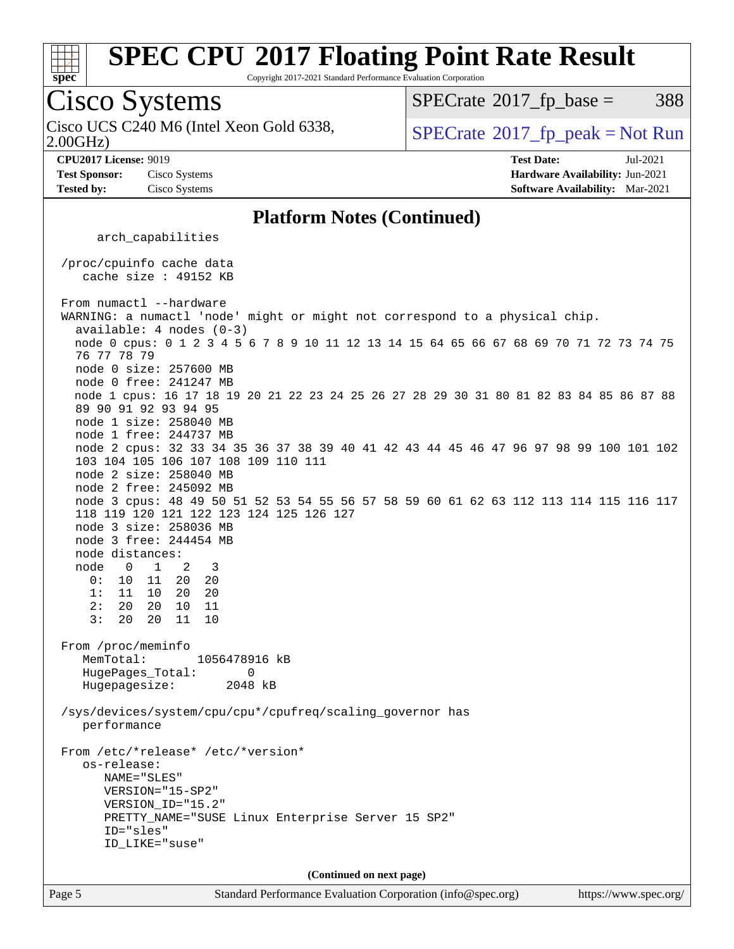

Copyright 2017-2021 Standard Performance Evaluation Corporation

## Cisco Systems

2.00GHz) Cisco UCS C240 M6 (Intel Xeon Gold 6338,  $\vert$  [SPECrate](http://www.spec.org/auto/cpu2017/Docs/result-fields.html#SPECrate2017fppeak)®[2017\\_fp\\_peak = N](http://www.spec.org/auto/cpu2017/Docs/result-fields.html#SPECrate2017fppeak)ot Run

 $SPECTate@2017<sub>fr</sub> base = 388$ 

**[CPU2017 License:](http://www.spec.org/auto/cpu2017/Docs/result-fields.html#CPU2017License)** 9019 **[Test Date:](http://www.spec.org/auto/cpu2017/Docs/result-fields.html#TestDate)** Jul-2021

**[Test Sponsor:](http://www.spec.org/auto/cpu2017/Docs/result-fields.html#TestSponsor)** Cisco Systems **[Hardware Availability:](http://www.spec.org/auto/cpu2017/Docs/result-fields.html#HardwareAvailability)** Jun-2021

**[Tested by:](http://www.spec.org/auto/cpu2017/Docs/result-fields.html#Testedby)** Cisco Systems **[Software Availability:](http://www.spec.org/auto/cpu2017/Docs/result-fields.html#SoftwareAvailability)** Mar-2021

#### **[Platform Notes \(Continued\)](http://www.spec.org/auto/cpu2017/Docs/result-fields.html#PlatformNotes)**

arch\_capabilities

 /proc/cpuinfo cache data cache size : 49152 KB

From numactl --hardware WARNING: a numactl 'node' might or might not correspond to a physical chip. available: 4 nodes (0-3) node 0 cpus: 0 1 2 3 4 5 6 7 8 9 10 11 12 13 14 15 64 65 66 67 68 69 70 71 72 73 74 75 76 77 78 79 node 0 size: 257600 MB node 0 free: 241247 MB node 1 cpus: 16 17 18 19 20 21 22 23 24 25 26 27 28 29 30 31 80 81 82 83 84 85 86 87 88 89 90 91 92 93 94 95 node 1 size: 258040 MB node 1 free: 244737 MB node 2 cpus: 32 33 34 35 36 37 38 39 40 41 42 43 44 45 46 47 96 97 98 99 100 101 102 103 104 105 106 107 108 109 110 111 node 2 size: 258040 MB node 2 free: 245092 MB node 3 cpus: 48 49 50 51 52 53 54 55 56 57 58 59 60 61 62 63 112 113 114 115 116 117 118 119 120 121 122 123 124 125 126 127 node 3 size: 258036 MB node 3 free: 244454 MB node distances: node 0 1 2 3 0: 10 11 20 20 1: 11 10 20 20 2: 20 20 10 11 3: 20 20 11 10 From /proc/meminfo MemTotal: 1056478916 kB HugePages\_Total: 0 Hugepagesize: 2048 kB /sys/devices/system/cpu/cpu\*/cpufreq/scaling\_governor has performance From /etc/\*release\* /etc/\*version\* os-release: NAME="SLES" VERSION="15-SP2" VERSION\_ID="15.2" PRETTY\_NAME="SUSE Linux Enterprise Server 15 SP2" ID="sles" ID\_LIKE="suse" **(Continued on next page)**

Page 5 Standard Performance Evaluation Corporation [\(info@spec.org\)](mailto:info@spec.org) <https://www.spec.org/>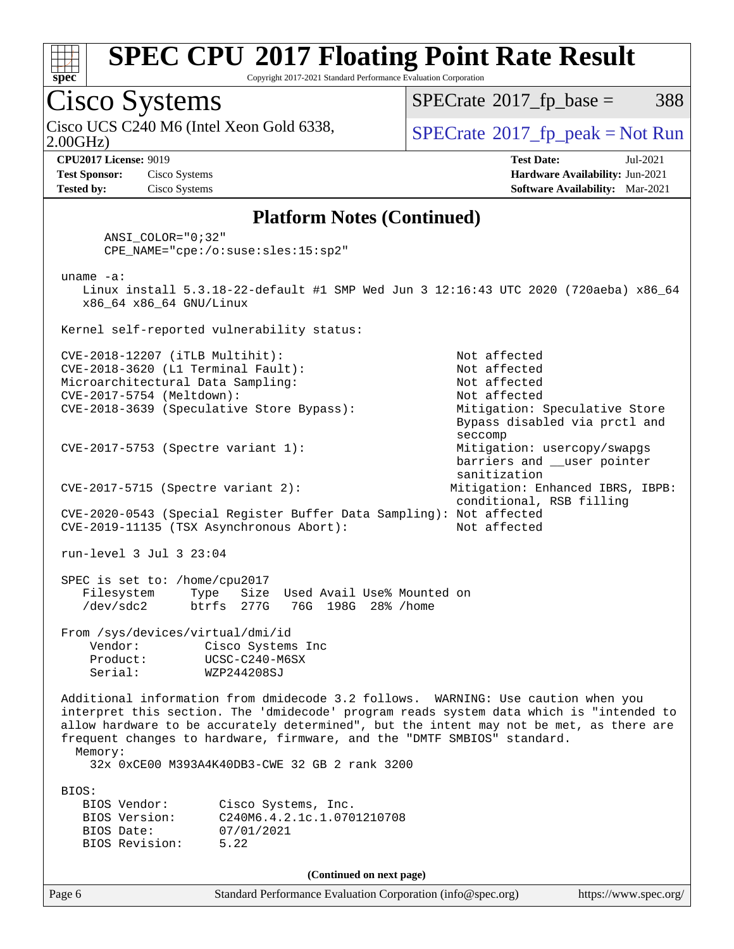

Copyright 2017-2021 Standard Performance Evaluation Corporation

## Cisco Systems

2.00GHz) Cisco UCS C240 M6 (Intel Xeon Gold 6338,  $\vert$  [SPECrate](http://www.spec.org/auto/cpu2017/Docs/result-fields.html#SPECrate2017fppeak)®[2017\\_fp\\_peak = N](http://www.spec.org/auto/cpu2017/Docs/result-fields.html#SPECrate2017fppeak)ot Run

 $SPECTate@2017<sub>fr</sub> base = 388$ 

**[Test Sponsor:](http://www.spec.org/auto/cpu2017/Docs/result-fields.html#TestSponsor)** Cisco Systems **[Hardware Availability:](http://www.spec.org/auto/cpu2017/Docs/result-fields.html#HardwareAvailability)** Jun-2021 **[Tested by:](http://www.spec.org/auto/cpu2017/Docs/result-fields.html#Testedby)** Cisco Systems **[Software Availability:](http://www.spec.org/auto/cpu2017/Docs/result-fields.html#SoftwareAvailability)** Mar-2021

**[CPU2017 License:](http://www.spec.org/auto/cpu2017/Docs/result-fields.html#CPU2017License)** 9019 **[Test Date:](http://www.spec.org/auto/cpu2017/Docs/result-fields.html#TestDate)** Jul-2021

#### **[Platform Notes \(Continued\)](http://www.spec.org/auto/cpu2017/Docs/result-fields.html#PlatformNotes)**

 ANSI\_COLOR="0;32" CPE\_NAME="cpe:/o:suse:sles:15:sp2" uname -a: Linux install 5.3.18-22-default #1 SMP Wed Jun 3 12:16:43 UTC 2020 (720aeba) x86\_64 x86\_64 x86\_64 GNU/Linux Kernel self-reported vulnerability status: CVE-2018-12207 (iTLB Multihit): Not affected CVE-2018-3620 (L1 Terminal Fault): Not affected Microarchitectural Data Sampling: Not affected CVE-2017-5754 (Meltdown): Not affected CVE-2018-3639 (Speculative Store Bypass): Mitigation: Speculative Store Bypass disabled via prctl and seccompany and the second second seconds of the second seconds of the seconds of the seconds of the seconds of CVE-2017-5753 (Spectre variant 1): Mitigation: usercopy/swapgs barriers and \_\_user pointer sanitization CVE-2017-5715 (Spectre variant 2): Mitigation: Enhanced IBRS, IBPB: conditional, RSB filling CVE-2020-0543 (Special Register Buffer Data Sampling): Not affected CVE-2019-11135 (TSX Asynchronous Abort): Not affected run-level 3 Jul 3 23:04 SPEC is set to: /home/cpu2017 Filesystem Type Size Used Avail Use% Mounted on<br>/dev/sdc2 btrfs 277G 76G 198G 28% /home /dev/sdc2 btrfs 277G 76G 198G 28% /home From /sys/devices/virtual/dmi/id Vendor: Cisco Systems Inc Product: UCSC-C240-M6SX Serial: WZP244208SJ Additional information from dmidecode 3.2 follows. WARNING: Use caution when you interpret this section. The 'dmidecode' program reads system data which is "intended to allow hardware to be accurately determined", but the intent may not be met, as there are frequent changes to hardware, firmware, and the "DMTF SMBIOS" standard. Memory: 32x 0xCE00 M393A4K40DB3-CWE 32 GB 2 rank 3200 BIOS: BIOS Vendor: Cisco Systems, Inc. BIOS Version: C240M6.4.2.1c.1.0701210708 BIOS Date: 07/01/2021 BIOS Revision: 5.22

**(Continued on next page)**

Page 6 Standard Performance Evaluation Corporation [\(info@spec.org\)](mailto:info@spec.org) <https://www.spec.org/>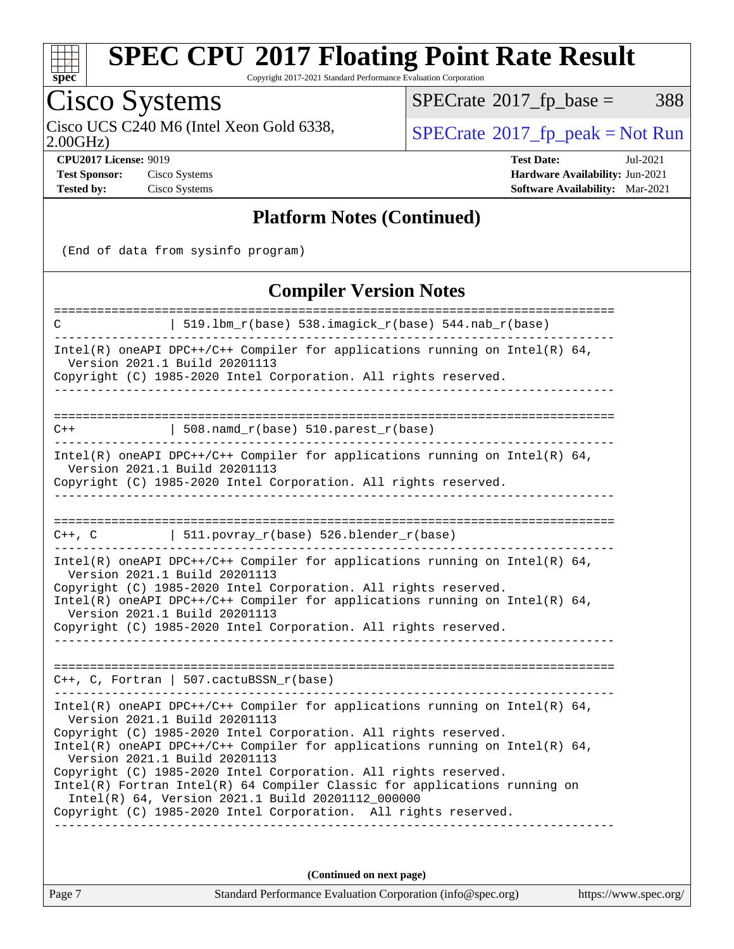

Copyright 2017-2021 Standard Performance Evaluation Corporation

## Cisco Systems

 $SPECTate@2017_fp\_base = 388$ 

2.00GHz)

**[Test Sponsor:](http://www.spec.org/auto/cpu2017/Docs/result-fields.html#TestSponsor)** Cisco Systems **[Hardware Availability:](http://www.spec.org/auto/cpu2017/Docs/result-fields.html#HardwareAvailability)** Jun-2021 **[Tested by:](http://www.spec.org/auto/cpu2017/Docs/result-fields.html#Testedby)** Cisco Systems **[Software Availability:](http://www.spec.org/auto/cpu2017/Docs/result-fields.html#SoftwareAvailability)** Mar-2021

Cisco UCS C240 M6 (Intel Xeon Gold 6338,  $\sum_{\text{OPECrate}} 2017 \text{ p}$  peak = Not Run

**[CPU2017 License:](http://www.spec.org/auto/cpu2017/Docs/result-fields.html#CPU2017License)** 9019 **[Test Date:](http://www.spec.org/auto/cpu2017/Docs/result-fields.html#TestDate)** Jul-2021

### **[Platform Notes \(Continued\)](http://www.spec.org/auto/cpu2017/Docs/result-fields.html#PlatformNotes)**

(End of data from sysinfo program)

#### **[Compiler Version Notes](http://www.spec.org/auto/cpu2017/Docs/result-fields.html#CompilerVersionNotes)**

| 519.1bm_r(base) 538.imagick_r(base) 544.nab_r(base)<br>C                                                                                                                                                                                                                                                                                                                                                                                                                                                                                                                      |  |  |  |  |
|-------------------------------------------------------------------------------------------------------------------------------------------------------------------------------------------------------------------------------------------------------------------------------------------------------------------------------------------------------------------------------------------------------------------------------------------------------------------------------------------------------------------------------------------------------------------------------|--|--|--|--|
| Intel(R) oneAPI DPC++/C++ Compiler for applications running on Intel(R) $64$ ,<br>Version 2021.1 Build 20201113<br>Copyright (C) 1985-2020 Intel Corporation. All rights reserved.                                                                                                                                                                                                                                                                                                                                                                                            |  |  |  |  |
| 508.namd_r(base) 510.parest_r(base)<br>$C++$                                                                                                                                                                                                                                                                                                                                                                                                                                                                                                                                  |  |  |  |  |
| Intel(R) oneAPI DPC++/C++ Compiler for applications running on Intel(R) $64$ ,<br>Version 2021.1 Build 20201113<br>Copyright (C) 1985-2020 Intel Corporation. All rights reserved.                                                                                                                                                                                                                                                                                                                                                                                            |  |  |  |  |
| 511.povray_r(base) 526.blender_r(base)<br>C++, C                                                                                                                                                                                                                                                                                                                                                                                                                                                                                                                              |  |  |  |  |
| Intel(R) oneAPI DPC++/C++ Compiler for applications running on Intel(R) $64$ ,<br>Version 2021.1 Build 20201113<br>Copyright (C) 1985-2020 Intel Corporation. All rights reserved.<br>Intel(R) oneAPI DPC++/C++ Compiler for applications running on Intel(R) $64$ ,<br>Version 2021.1 Build 20201113<br>Copyright (C) 1985-2020 Intel Corporation. All rights reserved.                                                                                                                                                                                                      |  |  |  |  |
| $C++$ , C, Fortran   507.cactuBSSN_r(base)                                                                                                                                                                                                                                                                                                                                                                                                                                                                                                                                    |  |  |  |  |
| Intel(R) oneAPI DPC++/C++ Compiler for applications running on Intel(R) $64$ ,<br>Version 2021.1 Build 20201113<br>Copyright (C) 1985-2020 Intel Corporation. All rights reserved.<br>Intel(R) oneAPI DPC++/C++ Compiler for applications running on Intel(R) $64$ ,<br>Version 2021.1 Build 20201113<br>Copyright (C) 1985-2020 Intel Corporation. All rights reserved.<br>Intel(R) Fortran Intel(R) 64 Compiler Classic for applications running on<br>Intel(R) 64, Version 2021.1 Build 20201112_000000<br>Copyright (C) 1985-2020 Intel Corporation. All rights reserved. |  |  |  |  |
| (Continued on next page)                                                                                                                                                                                                                                                                                                                                                                                                                                                                                                                                                      |  |  |  |  |

Page 7 Standard Performance Evaluation Corporation [\(info@spec.org\)](mailto:info@spec.org) <https://www.spec.org/>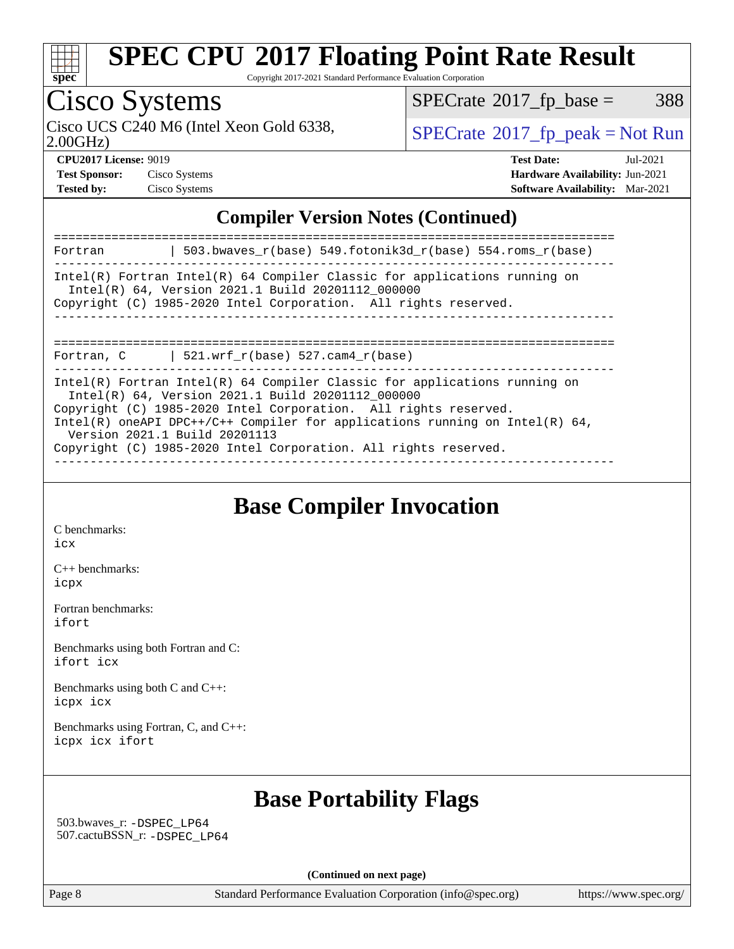

Copyright 2017-2021 Standard Performance Evaluation Corporation

# Cisco Systems

Cisco UCS C240 M6 (Intel Xeon Gold 6338,  $SPECrate@2017_fp\_peak = Not Run$  $SPECrate@2017_fp\_peak = Not Run$ 

 $SPECTate@2017_fp\_base = 388$ 

2.00GHz)

| <b>Test Sponsor:</b> | Cisco Systems |
|----------------------|---------------|
| <b>Tested by:</b>    | Cisco Systems |

**[CPU2017 License:](http://www.spec.org/auto/cpu2017/Docs/result-fields.html#CPU2017License)** 9019 **[Test Date:](http://www.spec.org/auto/cpu2017/Docs/result-fields.html#TestDate)** Jul-2021 **[Test Sponsor:](http://www.spec.org/auto/cpu2017/Docs/result-fields.html#TestSponsor)** Cisco Systems **[Hardware Availability:](http://www.spec.org/auto/cpu2017/Docs/result-fields.html#HardwareAvailability)** Jun-2021 **[Tested by:](http://www.spec.org/auto/cpu2017/Docs/result-fields.html#Testedby)** Cisco Systems **[Software Availability:](http://www.spec.org/auto/cpu2017/Docs/result-fields.html#SoftwareAvailability)** Mar-2021

## **[Compiler Version Notes \(Continued\)](http://www.spec.org/auto/cpu2017/Docs/result-fields.html#CompilerVersionNotes)**

| 503.bwaves_r(base) 549.fotonik3d_r(base) 554.roms_r(base)<br>Fortran                                                                                                                                                                                                                                                                                                                      |  |
|-------------------------------------------------------------------------------------------------------------------------------------------------------------------------------------------------------------------------------------------------------------------------------------------------------------------------------------------------------------------------------------------|--|
| $Intel(R)$ Fortran Intel(R) 64 Compiler Classic for applications running on<br>Intel(R) 64, Version 2021.1 Build 20201112 000000<br>Copyright (C) 1985-2020 Intel Corporation. All rights reserved.                                                                                                                                                                                       |  |
| --------------------------------<br>  521.wrf $r(base)$ 527.cam4 $r(base)$<br>Fortran, C                                                                                                                                                                                                                                                                                                  |  |
| $Intel(R)$ Fortran Intel(R) 64 Compiler Classic for applications running on<br>Intel(R) 64, Version 2021.1 Build 20201112 000000<br>Copyright (C) 1985-2020 Intel Corporation. All rights reserved.<br>Intel(R) oneAPI DPC++/C++ Compiler for applications running on Intel(R) $64$ ,<br>Version 2021.1 Build 20201113<br>Copyright (C) 1985-2020 Intel Corporation. All rights reserved. |  |

## **[Base Compiler Invocation](http://www.spec.org/auto/cpu2017/Docs/result-fields.html#BaseCompilerInvocation)**

[C benchmarks](http://www.spec.org/auto/cpu2017/Docs/result-fields.html#Cbenchmarks): [icx](http://www.spec.org/cpu2017/results/res2021q3/cpu2017-20210720-28400.flags.html#user_CCbase_intel_icx_fe2d28d19ae2a5db7c42fe0f2a2aed77cb715edd4aeb23434404a8be6683fe239869bb6ca8154ca98265c2e3b9226a719a0efe2953a4a7018c379b7010ccf087)

[C++ benchmarks:](http://www.spec.org/auto/cpu2017/Docs/result-fields.html#CXXbenchmarks) [icpx](http://www.spec.org/cpu2017/results/res2021q3/cpu2017-20210720-28400.flags.html#user_CXXbase_intel_icpx_1e918ed14c436bf4b9b7c8bcdd51d4539fc71b3df010bd1e9f8732d9c34c2b2914e48204a846820f3c0ebb4095dea797a5c30b458ac0b6dffac65d78f781f5ca)

[Fortran benchmarks](http://www.spec.org/auto/cpu2017/Docs/result-fields.html#Fortranbenchmarks): [ifort](http://www.spec.org/cpu2017/results/res2021q3/cpu2017-20210720-28400.flags.html#user_FCbase_intel_ifort_8111460550e3ca792625aed983ce982f94888b8b503583aa7ba2b8303487b4d8a21a13e7191a45c5fd58ff318f48f9492884d4413fa793fd88dd292cad7027ca)

[Benchmarks using both Fortran and C](http://www.spec.org/auto/cpu2017/Docs/result-fields.html#BenchmarksusingbothFortranandC): [ifort](http://www.spec.org/cpu2017/results/res2021q3/cpu2017-20210720-28400.flags.html#user_CC_FCbase_intel_ifort_8111460550e3ca792625aed983ce982f94888b8b503583aa7ba2b8303487b4d8a21a13e7191a45c5fd58ff318f48f9492884d4413fa793fd88dd292cad7027ca) [icx](http://www.spec.org/cpu2017/results/res2021q3/cpu2017-20210720-28400.flags.html#user_CC_FCbase_intel_icx_fe2d28d19ae2a5db7c42fe0f2a2aed77cb715edd4aeb23434404a8be6683fe239869bb6ca8154ca98265c2e3b9226a719a0efe2953a4a7018c379b7010ccf087)

[Benchmarks using both C and C++](http://www.spec.org/auto/cpu2017/Docs/result-fields.html#BenchmarksusingbothCandCXX): [icpx](http://www.spec.org/cpu2017/results/res2021q3/cpu2017-20210720-28400.flags.html#user_CC_CXXbase_intel_icpx_1e918ed14c436bf4b9b7c8bcdd51d4539fc71b3df010bd1e9f8732d9c34c2b2914e48204a846820f3c0ebb4095dea797a5c30b458ac0b6dffac65d78f781f5ca) [icx](http://www.spec.org/cpu2017/results/res2021q3/cpu2017-20210720-28400.flags.html#user_CC_CXXbase_intel_icx_fe2d28d19ae2a5db7c42fe0f2a2aed77cb715edd4aeb23434404a8be6683fe239869bb6ca8154ca98265c2e3b9226a719a0efe2953a4a7018c379b7010ccf087)

[Benchmarks using Fortran, C, and C++:](http://www.spec.org/auto/cpu2017/Docs/result-fields.html#BenchmarksusingFortranCandCXX) [icpx](http://www.spec.org/cpu2017/results/res2021q3/cpu2017-20210720-28400.flags.html#user_CC_CXX_FCbase_intel_icpx_1e918ed14c436bf4b9b7c8bcdd51d4539fc71b3df010bd1e9f8732d9c34c2b2914e48204a846820f3c0ebb4095dea797a5c30b458ac0b6dffac65d78f781f5ca) [icx](http://www.spec.org/cpu2017/results/res2021q3/cpu2017-20210720-28400.flags.html#user_CC_CXX_FCbase_intel_icx_fe2d28d19ae2a5db7c42fe0f2a2aed77cb715edd4aeb23434404a8be6683fe239869bb6ca8154ca98265c2e3b9226a719a0efe2953a4a7018c379b7010ccf087) [ifort](http://www.spec.org/cpu2017/results/res2021q3/cpu2017-20210720-28400.flags.html#user_CC_CXX_FCbase_intel_ifort_8111460550e3ca792625aed983ce982f94888b8b503583aa7ba2b8303487b4d8a21a13e7191a45c5fd58ff318f48f9492884d4413fa793fd88dd292cad7027ca)

## **[Base Portability Flags](http://www.spec.org/auto/cpu2017/Docs/result-fields.html#BasePortabilityFlags)**

 503.bwaves\_r: [-DSPEC\\_LP64](http://www.spec.org/cpu2017/results/res2021q3/cpu2017-20210720-28400.flags.html#suite_basePORTABILITY503_bwaves_r_DSPEC_LP64) 507.cactuBSSN\_r: [-DSPEC\\_LP64](http://www.spec.org/cpu2017/results/res2021q3/cpu2017-20210720-28400.flags.html#suite_basePORTABILITY507_cactuBSSN_r_DSPEC_LP64)

**(Continued on next page)**

Page 8 Standard Performance Evaluation Corporation [\(info@spec.org\)](mailto:info@spec.org) <https://www.spec.org/>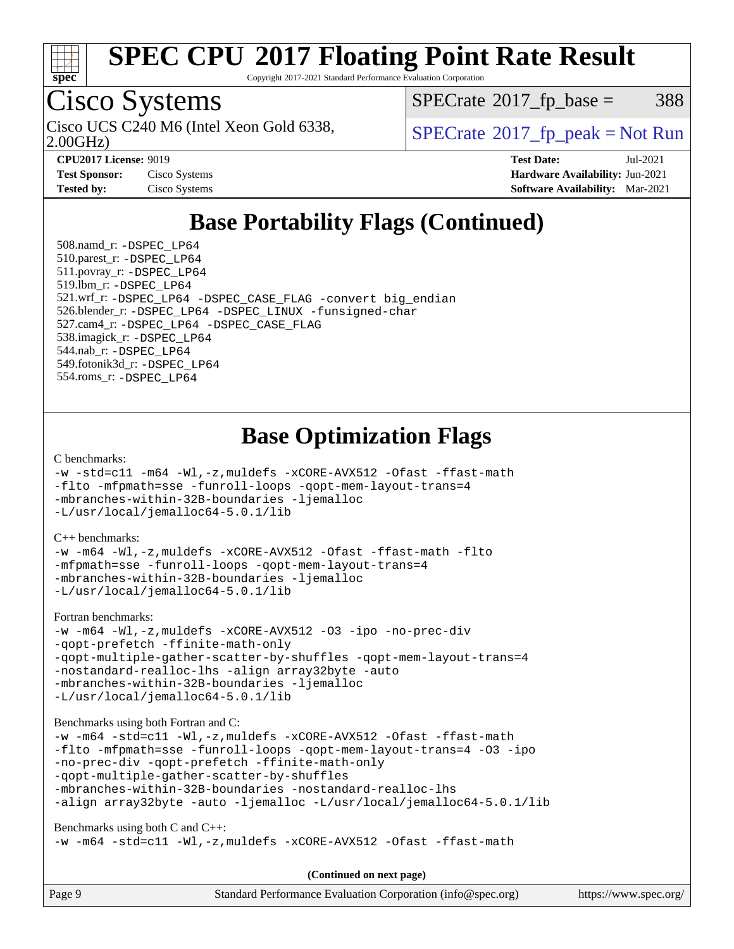

Copyright 2017-2021 Standard Performance Evaluation Corporation

## Cisco Systems

Cisco UCS C240 M6 (Intel Xeon Gold 6338,  $\vert$  [SPECrate](http://www.spec.org/auto/cpu2017/Docs/result-fields.html#SPECrate2017fppeak)®[2017\\_fp\\_peak = N](http://www.spec.org/auto/cpu2017/Docs/result-fields.html#SPECrate2017fppeak)ot Run

 $SPECTate@2017<sub>fr</sub> base = 388$ 

2.00GHz)

**[Test Sponsor:](http://www.spec.org/auto/cpu2017/Docs/result-fields.html#TestSponsor)** Cisco Systems **[Hardware Availability:](http://www.spec.org/auto/cpu2017/Docs/result-fields.html#HardwareAvailability)** Jun-2021

**[CPU2017 License:](http://www.spec.org/auto/cpu2017/Docs/result-fields.html#CPU2017License)** 9019 **[Test Date:](http://www.spec.org/auto/cpu2017/Docs/result-fields.html#TestDate)** Jul-2021 **[Tested by:](http://www.spec.org/auto/cpu2017/Docs/result-fields.html#Testedby)** Cisco Systems **[Software Availability:](http://www.spec.org/auto/cpu2017/Docs/result-fields.html#SoftwareAvailability)** Mar-2021

## **[Base Portability Flags \(Continued\)](http://www.spec.org/auto/cpu2017/Docs/result-fields.html#BasePortabilityFlags)**

 508.namd\_r: [-DSPEC\\_LP64](http://www.spec.org/cpu2017/results/res2021q3/cpu2017-20210720-28400.flags.html#suite_basePORTABILITY508_namd_r_DSPEC_LP64) 510.parest\_r: [-DSPEC\\_LP64](http://www.spec.org/cpu2017/results/res2021q3/cpu2017-20210720-28400.flags.html#suite_basePORTABILITY510_parest_r_DSPEC_LP64) 511.povray\_r: [-DSPEC\\_LP64](http://www.spec.org/cpu2017/results/res2021q3/cpu2017-20210720-28400.flags.html#suite_basePORTABILITY511_povray_r_DSPEC_LP64) 519.lbm\_r: [-DSPEC\\_LP64](http://www.spec.org/cpu2017/results/res2021q3/cpu2017-20210720-28400.flags.html#suite_basePORTABILITY519_lbm_r_DSPEC_LP64) 521.wrf\_r: [-DSPEC\\_LP64](http://www.spec.org/cpu2017/results/res2021q3/cpu2017-20210720-28400.flags.html#suite_basePORTABILITY521_wrf_r_DSPEC_LP64) [-DSPEC\\_CASE\\_FLAG](http://www.spec.org/cpu2017/results/res2021q3/cpu2017-20210720-28400.flags.html#b521.wrf_r_baseCPORTABILITY_DSPEC_CASE_FLAG) [-convert big\\_endian](http://www.spec.org/cpu2017/results/res2021q3/cpu2017-20210720-28400.flags.html#user_baseFPORTABILITY521_wrf_r_convert_big_endian_c3194028bc08c63ac5d04de18c48ce6d347e4e562e8892b8bdbdc0214820426deb8554edfa529a3fb25a586e65a3d812c835984020483e7e73212c4d31a38223) 526.blender\_r: [-DSPEC\\_LP64](http://www.spec.org/cpu2017/results/res2021q3/cpu2017-20210720-28400.flags.html#suite_basePORTABILITY526_blender_r_DSPEC_LP64) [-DSPEC\\_LINUX](http://www.spec.org/cpu2017/results/res2021q3/cpu2017-20210720-28400.flags.html#b526.blender_r_baseCPORTABILITY_DSPEC_LINUX) [-funsigned-char](http://www.spec.org/cpu2017/results/res2021q3/cpu2017-20210720-28400.flags.html#user_baseCPORTABILITY526_blender_r_force_uchar_40c60f00ab013830e2dd6774aeded3ff59883ba5a1fc5fc14077f794d777847726e2a5858cbc7672e36e1b067e7e5c1d9a74f7176df07886a243d7cc18edfe67) 527.cam4\_r: [-DSPEC\\_LP64](http://www.spec.org/cpu2017/results/res2021q3/cpu2017-20210720-28400.flags.html#suite_basePORTABILITY527_cam4_r_DSPEC_LP64) [-DSPEC\\_CASE\\_FLAG](http://www.spec.org/cpu2017/results/res2021q3/cpu2017-20210720-28400.flags.html#b527.cam4_r_baseCPORTABILITY_DSPEC_CASE_FLAG) 538.imagick\_r: [-DSPEC\\_LP64](http://www.spec.org/cpu2017/results/res2021q3/cpu2017-20210720-28400.flags.html#suite_basePORTABILITY538_imagick_r_DSPEC_LP64) 544.nab\_r: [-DSPEC\\_LP64](http://www.spec.org/cpu2017/results/res2021q3/cpu2017-20210720-28400.flags.html#suite_basePORTABILITY544_nab_r_DSPEC_LP64) 549.fotonik3d\_r: [-DSPEC\\_LP64](http://www.spec.org/cpu2017/results/res2021q3/cpu2017-20210720-28400.flags.html#suite_basePORTABILITY549_fotonik3d_r_DSPEC_LP64) 554.roms\_r: [-DSPEC\\_LP64](http://www.spec.org/cpu2017/results/res2021q3/cpu2017-20210720-28400.flags.html#suite_basePORTABILITY554_roms_r_DSPEC_LP64)

## **[Base Optimization Flags](http://www.spec.org/auto/cpu2017/Docs/result-fields.html#BaseOptimizationFlags)**

#### [C benchmarks](http://www.spec.org/auto/cpu2017/Docs/result-fields.html#Cbenchmarks):

```
-w -std=c11 -m64 -Wl,-z,muldefs -xCORE-AVX512 -Ofast -ffast-math
-flto -mfpmath=sse -funroll-loops -qopt-mem-layout-trans=4
-mbranches-within-32B-boundaries -ljemalloc
-L/usr/local/jemalloc64-5.0.1/lib
```
#### [C++ benchmarks:](http://www.spec.org/auto/cpu2017/Docs/result-fields.html#CXXbenchmarks)

```
-w -m64 -Wl,-z,muldefs -xCORE-AVX512 -Ofast -ffast-math -flto
-mfpmath=sse -funroll-loops -qopt-mem-layout-trans=4
-mbranches-within-32B-boundaries -ljemalloc
-L/usr/local/jemalloc64-5.0.1/lib
```
[Fortran benchmarks](http://www.spec.org/auto/cpu2017/Docs/result-fields.html#Fortranbenchmarks):

```
-w -m64 -Wl,-z,muldefs -xCORE-AVX512 -O3 -ipo -no-prec-div
-qopt-prefetch -ffinite-math-only
-qopt-multiple-gather-scatter-by-shuffles -qopt-mem-layout-trans=4
-nostandard-realloc-lhs -align array32byte -auto
-mbranches-within-32B-boundaries -ljemalloc
-L/usr/local/jemalloc64-5.0.1/lib
```
[Benchmarks using both Fortran and C](http://www.spec.org/auto/cpu2017/Docs/result-fields.html#BenchmarksusingbothFortranandC):

```
-w -m64 -std=c11 -Wl,-z,muldefs -xCORE-AVX512 -Ofast -ffast-math
-flto -mfpmath=sse -funroll-loops -qopt-mem-layout-trans=4 -O3 -ipo
-no-prec-div -qopt-prefetch -ffinite-math-only
-qopt-multiple-gather-scatter-by-shuffles
-mbranches-within-32B-boundaries -nostandard-realloc-lhs
-align array32byte -auto -ljemalloc -L/usr/local/jemalloc64-5.0.1/lib
```
[Benchmarks using both C and C++](http://www.spec.org/auto/cpu2017/Docs/result-fields.html#BenchmarksusingbothCandCXX):

```
-w -m64 -std=c11 -Wl,-z,muldefs -xCORE-AVX512 -Ofast -ffast-math
```
**(Continued on next page)**

| Page 9 | Standard Performance Evaluation Corporation (info@spec.org) | https://www.spec.org/ |
|--------|-------------------------------------------------------------|-----------------------|